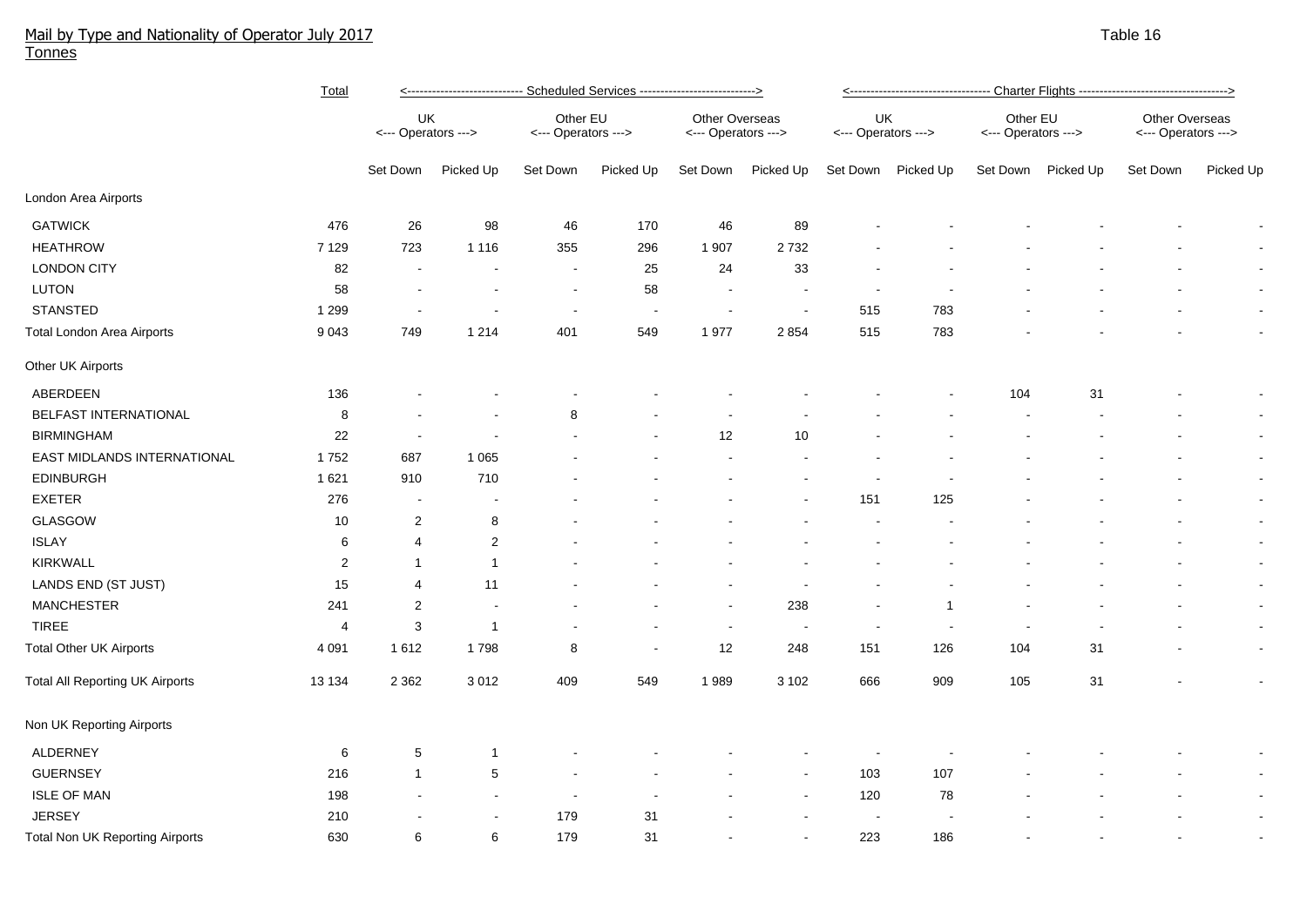## Mail by Type and Nationality of Operator July 2017 Table 16 Tonnes

|                                        | <b>Total</b>   | <---------------------------- Scheduled Services ---------------------------> |                          |                                 |           |                                       |                          | <---------------------------------- Charter Flights ---------------------------------> |                    |                                 |           |                                              |                          |
|----------------------------------------|----------------|-------------------------------------------------------------------------------|--------------------------|---------------------------------|-----------|---------------------------------------|--------------------------|----------------------------------------------------------------------------------------|--------------------|---------------------------------|-----------|----------------------------------------------|--------------------------|
|                                        |                | UK<br><--- Operators --->                                                     |                          | Other EU<br><--- Operators ---> |           | Other Overseas<br><--- Operators ---> |                          | UK<br><--- Operators --->                                                              |                    | Other EU<br><--- Operators ---> |           | <b>Other Overseas</b><br><--- Operators ---> |                          |
|                                        |                | Set Down                                                                      | Picked Up                | Set Down                        | Picked Up | Set Down                              | Picked Up                |                                                                                        | Set Down Picked Up | Set Down                        | Picked Up | Set Down                                     | Picked Up                |
| London Area Airports                   |                |                                                                               |                          |                                 |           |                                       |                          |                                                                                        |                    |                                 |           |                                              |                          |
| <b>GATWICK</b>                         | 476            | 26                                                                            | 98                       | 46                              | 170       | 46                                    | 89                       |                                                                                        |                    |                                 |           |                                              |                          |
| <b>HEATHROW</b>                        | 7 1 2 9        | 723                                                                           | 1 1 1 6                  | 355                             | 296       | 1 907                                 | 2732                     |                                                                                        |                    |                                 |           |                                              | $\sim$                   |
| <b>LONDON CITY</b>                     | 82             |                                                                               | $\blacksquare$           | $\blacksquare$                  | 25        | 24                                    | 33                       |                                                                                        |                    |                                 |           |                                              |                          |
| LUTON                                  | 58             |                                                                               | $\overline{\phantom{a}}$ | $\blacksquare$                  | 58        | $\overline{\phantom{a}}$              |                          |                                                                                        |                    |                                 |           |                                              | $\blacksquare$           |
| <b>STANSTED</b>                        | 1 2 9 9        |                                                                               | $\overline{a}$           | $\overline{\phantom{a}}$        |           | $\overline{\phantom{a}}$              |                          | 515                                                                                    | 783                |                                 |           |                                              | $\blacksquare$           |
| Total London Area Airports             | 9 0 4 3        | 749                                                                           | 1 2 1 4                  | 401                             | 549       | 1977                                  | 2 8 5 4                  | 515                                                                                    | 783                |                                 |           |                                              | $\blacksquare$           |
| Other UK Airports                      |                |                                                                               |                          |                                 |           |                                       |                          |                                                                                        |                    |                                 |           |                                              |                          |
| ABERDEEN                               | 136            |                                                                               |                          |                                 |           |                                       |                          |                                                                                        |                    | 104                             | 31        |                                              | $\overline{\phantom{a}}$ |
| BELFAST INTERNATIONAL                  | 8              |                                                                               |                          | 8                               |           |                                       |                          |                                                                                        |                    |                                 |           |                                              | $\blacksquare$           |
| <b>BIRMINGHAM</b>                      | 22             |                                                                               |                          |                                 |           | $12$                                  | 10                       |                                                                                        |                    |                                 |           |                                              | $\blacksquare$           |
| EAST MIDLANDS INTERNATIONAL            | 1752           | 687                                                                           | 1 0 6 5                  |                                 |           |                                       |                          |                                                                                        |                    |                                 |           |                                              | $\blacksquare$           |
| <b>EDINBURGH</b>                       | 1621           | 910                                                                           | 710                      |                                 |           |                                       |                          |                                                                                        |                    |                                 |           |                                              | $\blacksquare$           |
| <b>EXETER</b>                          | 276            | $\overline{\phantom{a}}$                                                      | $\overline{\phantom{a}}$ |                                 |           |                                       |                          | 151                                                                                    | 125                |                                 |           |                                              | $\blacksquare$           |
| GLASGOW                                | 10             | 2                                                                             | 8                        |                                 |           |                                       |                          |                                                                                        |                    |                                 |           |                                              | $\blacksquare$           |
| <b>ISLAY</b>                           | 6              | 4                                                                             | $\overline{2}$           |                                 |           |                                       |                          |                                                                                        |                    |                                 |           |                                              | $\blacksquare$           |
| <b>KIRKWALL</b>                        | 2              | $\overline{1}$                                                                | $\overline{1}$           |                                 |           |                                       |                          |                                                                                        |                    |                                 |           |                                              | $\blacksquare$           |
| LANDS END (ST JUST)                    | 15             | 4                                                                             | 11                       |                                 |           |                                       |                          |                                                                                        |                    |                                 |           |                                              | $\blacksquare$           |
| <b>MANCHESTER</b>                      | 241            | 2                                                                             | $\blacksquare$           |                                 |           | $\sim$                                | 238                      |                                                                                        | 1                  |                                 |           |                                              | $\blacksquare$           |
| <b>TIREE</b>                           | $\overline{4}$ | 3                                                                             | $\overline{1}$           |                                 |           | $\sim$                                | $\overline{\phantom{a}}$ | $\blacksquare$                                                                         |                    |                                 |           |                                              | $\blacksquare$           |
| <b>Total Other UK Airports</b>         | 4 0 9 1        | 1612                                                                          | 1798                     | 8                               |           | 12                                    | 248                      | 151                                                                                    | 126                | 104                             | 31        |                                              | $\blacksquare$           |
| <b>Total All Reporting UK Airports</b> | 13 134         | 2 3 6 2                                                                       | 3 0 1 2                  | 409                             | 549       | 1989                                  | 3 1 0 2                  | 666                                                                                    | 909                | 105                             | 31        |                                              | $\blacksquare$           |
| Non UK Reporting Airports              |                |                                                                               |                          |                                 |           |                                       |                          |                                                                                        |                    |                                 |           |                                              |                          |
| ALDERNEY                               | 6              | 5                                                                             | $\mathbf 1$              |                                 |           |                                       |                          |                                                                                        |                    |                                 |           |                                              | $\blacksquare$           |
| <b>GUERNSEY</b>                        | 216            | $\overline{1}$                                                                | 5                        |                                 |           |                                       | $\overline{\phantom{a}}$ | 103                                                                                    | 107                |                                 |           |                                              | $\sim$                   |
| <b>ISLE OF MAN</b>                     | 198            |                                                                               | $\sim$                   | $\blacksquare$                  |           |                                       |                          | 120                                                                                    | 78                 |                                 |           |                                              | $\blacksquare$           |
| <b>JERSEY</b>                          | 210            |                                                                               |                          | 179                             | 31        |                                       |                          |                                                                                        |                    |                                 |           |                                              | $\blacksquare$           |
| <b>Total Non UK Reporting Airports</b> | 630            | 6                                                                             | 6                        | 179                             | 31        |                                       |                          | 223                                                                                    | 186                |                                 |           |                                              |                          |